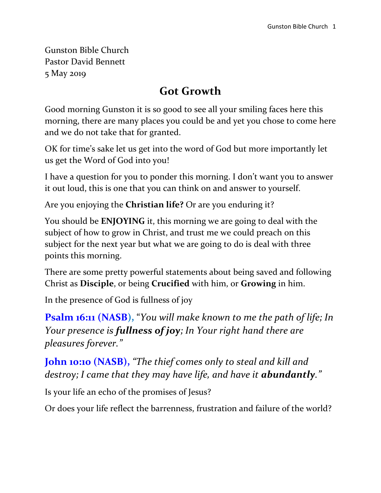Gunston Bible Church Pastor David Bennett 5 May 2019

## **Got Growth**

Good morning Gunston it is so good to see all your smiling faces here this morning, there are many places you could be and yet you chose to come here and we do not take that for granted.

OK for time's sake let us get into the word of God but more importantly let us get the Word of God into you!

I have a question for you to ponder this morning. I don't want you to answer it out loud, this is one that you can think on and answer to yourself.

Are you enjoying the **Christian life?** Or are you enduring it?

You should be **ENJOYING** it, this morning we are going to deal with the subject of how to grow in Christ, and trust me we could preach on this subject for the next year but what we are going to do is deal with three points this morning.

There are some pretty powerful statements about being saved and following Christ as **Disciple**, or being **Crucified** with him, or **Growing** in him.

In the presence of God is fullness of joy

**Psalm 16:11 (NASB),** "*You will make known to me the path of life; In Your presence is fullness of joy; In Your right hand there are pleasures forever."*

**John 10:10 (NASB),** *"The thief comes only to steal and kill and destroy; I came that they may have life, and have it abundantly."*

Is your life an echo of the promises of Jesus?

Or does your life reflect the barrenness, frustration and failure of the world?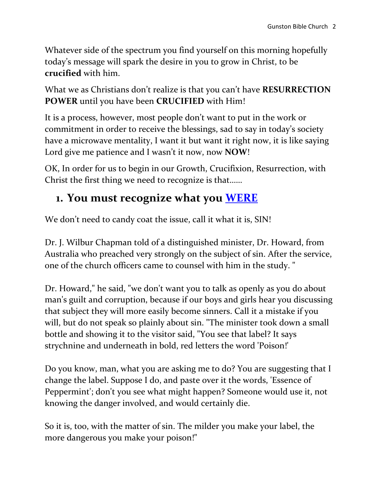Whatever side of the spectrum you find yourself on this morning hopefully today's message will spark the desire in you to grow in Christ, to be **crucified** with him.

What we as Christians don't realize is that you can't have **RESURRECTION POWER** until you have been **CRUCIFIED** with Him!

It is a process, however, most people don't want to put in the work or commitment in order to receive the blessings, sad to say in today's society have a microwave mentality, I want it but want it right now, it is like saying Lord give me patience and I wasn't it now, now **NOW**!

OK, In order for us to begin in our Growth, Crucifixion, Resurrection, with Christ the first thing we need to recognize is that……

## **1. You must recognize what you WERE**

We don't need to candy coat the issue, call it what it is, SIN!

Dr. J. Wilbur Chapman told of a distinguished minister, Dr. Howard, from Australia who preached very strongly on the subject of sin. After the service, one of the church officers came to counsel with him in the study. "

Dr. Howard," he said, "we don't want you to talk as openly as you do about man's guilt and corruption, because if our boys and girls hear you discussing that subject they will more easily become sinners. Call it a mistake if you will, but do not speak so plainly about sin. "The minister took down a small bottle and showing it to the visitor said, "You see that label? It says strychnine and underneath in bold, red letters the word 'Poison!'

Do you know, man, what you are asking me to do? You are suggesting that I change the label. Suppose I do, and paste over it the words, 'Essence of Peppermint'; don't you see what might happen? Someone would use it, not knowing the danger involved, and would certainly die.

So it is, too, with the matter of sin. The milder you make your label, the more dangerous you make your poison!"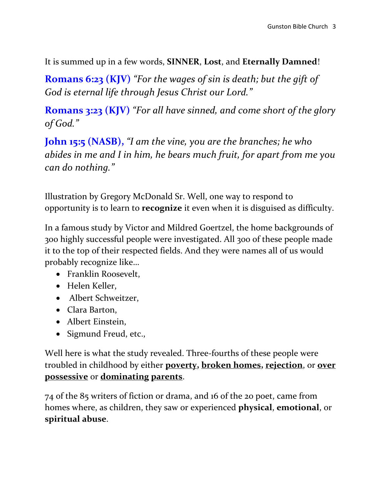It is summed up in a few words, **SINNER**, **Lost**, and **Eternally Damned**!

**Romans 6:23 (KJV)** *"For the wages of sin is death; but the gift of God is eternal life through Jesus Christ our Lord."*

**Romans 3:23 (KJV)** *"For all have sinned, and come short of the glory of God."*

**John 15:5 (NASB),** *"I am the vine, you are the branches; he who abides in me and I in him, he bears much fruit, for apart from me you can do nothing."*

Illustration by Gregory McDonald Sr. Well, one way to respond to opportunity is to learn to **recognize** it even when it is disguised as difficulty.

In a famous study by Victor and Mildred Goertzel, the home backgrounds of 300 highly successful people were investigated. All 300 of these people made it to the top of their respected fields. And they were names all of us would probably recognize like…

- Franklin Roosevelt,
- Helen Keller,
- Albert Schweitzer,
- Clara Barton,
- Albert Einstein,
- Sigmund Freud, etc.,

Well here is what the study revealed. Three-fourths of these people were troubled in childhood by either **poverty, broken homes, rejection**, or **over possessive** or **dominating parents**.

74 of the 85 writers of fiction or drama, and 16 of the 20 poet, came from homes where, as children, they saw or experienced **physical**, **emotional**, or **spiritual abuse**.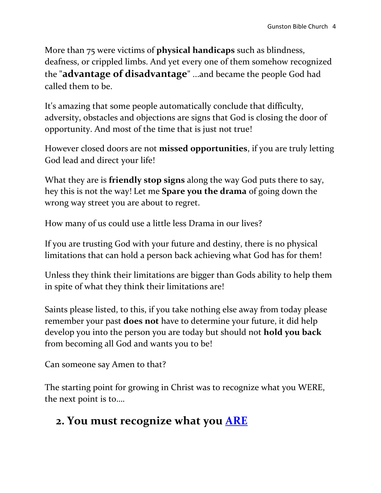More than 75 were victims of **physical handicaps** such as blindness, deafness, or crippled limbs. And yet every one of them somehow recognized the "**advantage of disadvantage**" ...and became the people God had called them to be.

It's amazing that some people automatically conclude that difficulty, adversity, obstacles and objections are signs that God is closing the door of opportunity. And most of the time that is just not true!

However closed doors are not **missed opportunities**, if you are truly letting God lead and direct your life!

What they are is **friendly stop signs** along the way God puts there to say, hey this is not the way! Let me **Spare you the drama** of going down the wrong way street you are about to regret.

How many of us could use a little less Drama in our lives?

If you are trusting God with your future and destiny, there is no physical limitations that can hold a person back achieving what God has for them!

Unless they think their limitations are bigger than Gods ability to help them in spite of what they think their limitations are!

Saints please listed, to this, if you take nothing else away from today please remember your past **does not** have to determine your future, it did help develop you into the person you are today but should not **hold you back** from becoming all God and wants you to be!

Can someone say Amen to that?

The starting point for growing in Christ was to recognize what you WERE, the next point is to….

# **2. You must recognize what you ARE**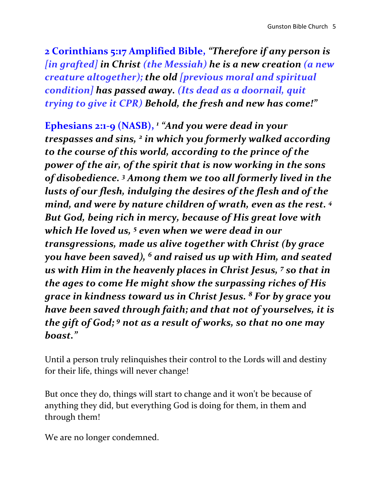**2 Corinthians 5:17 Amplified Bible,** *"Therefore if any person is [in grafted] in Christ (the Messiah) he is a new creation (a new creature altogether); the old [previous moral and spiritual condition] has passed away. (Its dead as a doornail, quit trying to give it CPR) Behold, the fresh and new has come!"*

**Ephesians 2:1-9 (NASB),** *<sup>1</sup> "And you were dead in your trespasses and sins, <sup>2</sup> in which you formerly walked according to the course of this world, according to the prince of the power of the air, of the spirit that is now working in the sons of disobedience. <sup>3</sup> Among them we too all formerly lived in the lusts of our flesh, indulging the desires of the flesh and of the mind, and were by nature children of wrath, even as the rest. <sup>4</sup> But God, being rich in mercy, because of His great love with which He loved us, <sup>5</sup> even when we were dead in our transgressions, made us alive together with Christ (by grace you have been saved), <sup>6</sup> and raised us up with Him, and seated us with Him in the heavenly places in Christ Jesus, <sup>7</sup> so that in the ages to come He might show the surpassing riches of His grace in kindness toward us in Christ Jesus. <sup>8</sup> For by grace you have been saved through faith; and that not of yourselves, it is the gift of God; <sup>9</sup> not as a result of works, so that no one may boast."*

Until a person truly relinquishes their control to the Lords will and destiny for their life, things will never change!

But once they do, things will start to change and it won't be because of anything they did, but everything God is doing for them, in them and through them!

We are no longer condemned.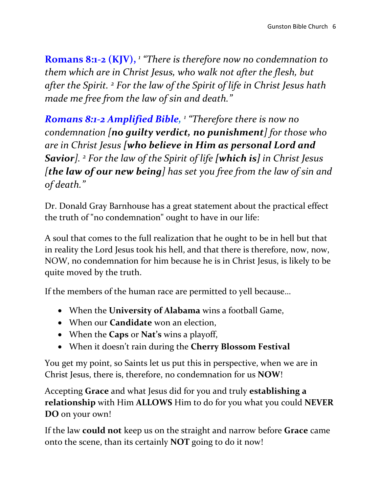**Romans 8:1-2 (KJV),**  *1 "There is therefore now no condemnation to them which are in Christ Jesus, who walk not after the flesh, but after the Spirit. <sup>2</sup> For the law of the Spirit of life in Christ Jesus hath made me free from the law of sin and death."*

*Romans 8:1-2 Amplified Bible, 1 "Therefore there is now no condemnation [no guilty verdict, no punishment] for those who are in Christ Jesus [who believe in Him as personal Lord and Savior]. <sup>2</sup> For the law of the Spirit of life [which is] in Christ Jesus [the law of our new being] has set you free from the law of sin and of death."*

Dr. Donald Gray Barnhouse has a great statement about the practical effect the truth of "no condemnation" ought to have in our life:

A soul that comes to the full realization that he ought to be in hell but that in reality the Lord Jesus took his hell, and that there is therefore, now, now, NOW, no condemnation for him because he is in Christ Jesus, is likely to be quite moved by the truth.

If the members of the human race are permitted to yell because…

- When the **University of Alabama** wins a football Game,
- When our **Candidate** won an election,
- When the **Caps** or **Nat's** wins a playoff,
- When it doesn't rain during the **Cherry Blossom Festival**

You get my point, so Saints let us put this in perspective, when we are in Christ Jesus, there is, therefore, no condemnation for us **NOW**!

Accepting **Grace** and what Jesus did for you and truly **establishing a relationship** with Him **ALLOWS** Him to do for you what you could **NEVER DO** on your own!

If the law **could not** keep us on the straight and narrow before **Grace** came onto the scene, than its certainly **NOT** going to do it now!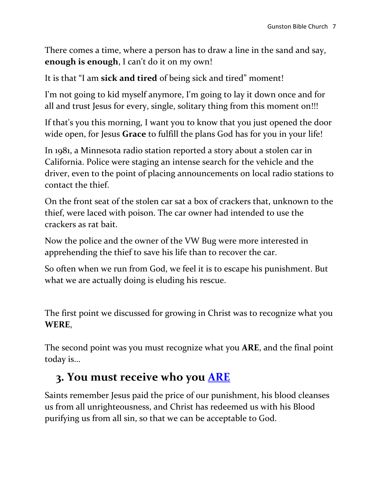There comes a time, where a person has to draw a line in the sand and say, **enough is enough**, I can't do it on my own!

It is that "I am **sick and tired** of being sick and tired" moment!

I'm not going to kid myself anymore, I'm going to lay it down once and for all and trust Jesus for every, single, solitary thing from this moment on!!!

If that's you this morning, I want you to know that you just opened the door wide open, for Jesus **Grace** to fulfill the plans God has for you in your life!

In 1981, a Minnesota radio station reported a story about a stolen car in California. Police were staging an intense search for the vehicle and the driver, even to the point of placing announcements on local radio stations to contact the thief.

On the front seat of the stolen car sat a box of crackers that, unknown to the thief, were laced with poison. The car owner had intended to use the crackers as rat bait.

Now the police and the owner of the VW Bug were more interested in apprehending the thief to save his life than to recover the car.

So often when we run from God, we feel it is to escape his punishment. But what we are actually doing is eluding his rescue.

The first point we discussed for growing in Christ was to recognize what you **WERE**,

The second point was you must recognize what you **ARE**, and the final point today is…

# **3. You must receive who you ARE**

Saints remember Jesus paid the price of our punishment, his blood cleanses us from all unrighteousness, and Christ has redeemed us with his Blood purifying us from all sin, so that we can be acceptable to God.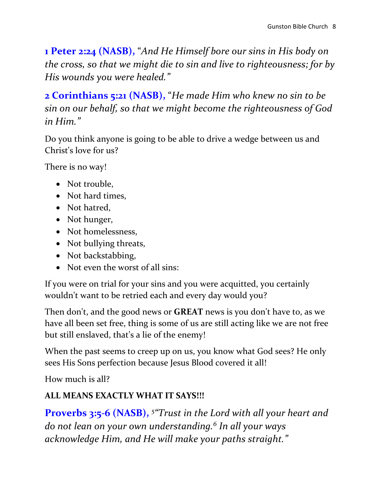**1 Peter 2:24 (NASB),** "*And He Himself bore our sins in His body on the cross, so that we might die to sin and live to righteousness; for by His wounds you were healed."*

**2 Corinthians 5:21 (NASB),** "*He made Him who knew no sin to be sin on our behalf, so that we might become the righteousness of God in Him."*

Do you think anyone is going to be able to drive a wedge between us and Christ's love for us?

There is no way!

- Not trouble,
- Not hard times,
- Not hatred,
- Not hunger,
- Not homelessness,
- Not bullying threats,
- Not backstabbing,
- Not even the worst of all sins:

If you were on trial for your sins and you were acquitted, you certainly wouldn't want to be retried each and every day would you?

Then don't, and the good news or **GREAT** news is you don't have to, as we have all been set free, thing is some of us are still acting like we are not free but still enslaved, that's a lie of the enemy!

When the past seems to creep up on us, you know what God sees? He only sees His Sons perfection because Jesus Blood covered it all!

How much is all?

## **ALL MEANS EXACTLY WHAT IT SAYS!!!**

**Proverbs 3:5-6 (NASB),**  *5 "Trust in the Lord with all your heart and do not lean on your own understanding.<sup>6</sup> In all your ways acknowledge Him, and He will make your paths straight."*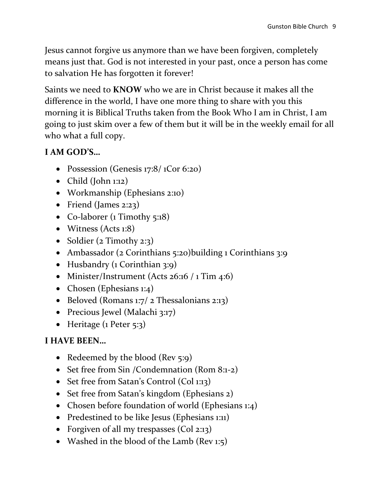Jesus cannot forgive us anymore than we have been forgiven, completely means just that. God is not interested in your past, once a person has come to salvation He has forgotten it forever!

Saints we need to **KNOW** who we are in Christ because it makes all the difference in the world, I have one more thing to share with you this morning it is Biblical Truths taken from the Book Who I am in Christ, I am going to just skim over a few of them but it will be in the weekly email for all who what a full copy.

## **I AM GOD'S…**

- Possession (Genesis 17:8/ 1Cor 6:20)
- Child (John 1:12)
- Workmanship (Ephesians 2:10)
- Friend (James 2:23)
- Co-laborer (1 Timothy 5:18)
- Witness (Acts 1:8)
- Soldier (2 Timothy 2:3)
- Ambassador (2 Corinthians 5:20)building 1 Corinthians 3:9
- Husbandry (1 Corinthian 3:9)
- Minister/Instrument (Acts 26:16 / 1 Tim 4:6)
- Chosen (Ephesians 1:4)
- $\bullet$  Beloved (Romans 1:7/ 2 Thessalonians 2:13)
- Precious Jewel (Malachi 3:17)
- Heritage  $(1$  Peter 5:3)

### **I HAVE BEEN…**

- Redeemed by the blood (Rev 5:9)
- Set free from Sin /Condemnation (Rom 8:1-2)
- Set free from Satan's Control (Col 1:13)
- Set free from Satan's kingdom (Ephesians 2)
- Chosen before foundation of world (Ephesians 1:4)
- Predestined to be like Jesus (Ephesians 1:11)
- Forgiven of all my trespasses (Col 2:13)
- Washed in the blood of the Lamb (Rev 1:5)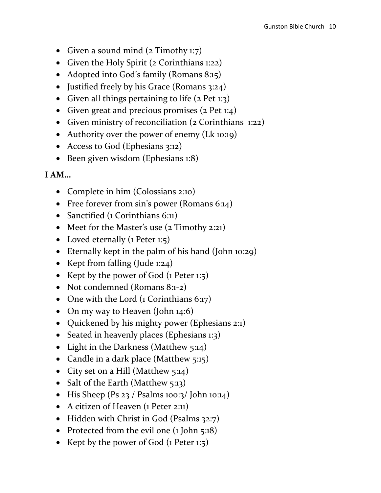- Given a sound mind  $(2$  Timothy 1:7)
- Given the Holy Spirit (2 Corinthians 1:22)
- Adopted into God's family (Romans 8:15)
- Justified freely by his Grace (Romans 3:24)
- Given all things pertaining to life  $(2$  Pet 1:3)
- Given great and precious promises  $(2$  Pet  $1:4)$
- Given ministry of reconciliation (2 Corinthians 1:22)
- Authority over the power of enemy (Lk 10:19)
- Access to God (Ephesians 3:12)
- Been given wisdom (Ephesians 1:8)

### **I AM…**

- Complete in him (Colossians 2:10)
- Free forever from sin's power (Romans 6:14)
- Sanctified (1 Corinthians 6:11)
- Meet for the Master's use (2 Timothy 2:21)
- Loved eternally (1 Peter 1:5)
- Eternally kept in the palm of his hand (John 10:29)
- Kept from falling (Jude 1:24)
- Kept by the power of God (1 Peter 1:5)
- Not condemned (Romans 8:1-2)
- One with the Lord (1 Corinthians 6:17)
- On my way to Heaven (John 14:6)
- Quickened by his mighty power (Ephesians 2:1)
- Seated in heavenly places (Ephesians 1:3)
- Light in the Darkness (Matthew 5:14)
- Candle in a dark place (Matthew 5:15)
- City set on a Hill (Matthew 5:14)
- Salt of the Earth (Matthew 5:13)
- $\bullet$  His Sheep (Ps 23 / Psalms 100:3/ John 10:14)
- A citizen of Heaven (1 Peter 2:11)
- Hidden with Christ in God (Psalms 32:7)
- Protected from the evil one (1 John 5:18)
- Kept by the power of God  $(1$  Peter 1:5)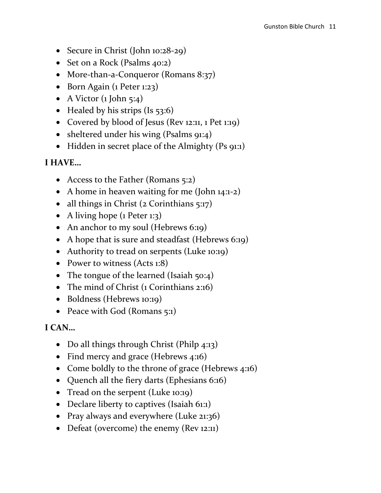- Secure in Christ (John 10:28-29)
- Set on a Rock (Psalms 40:2)
- More-than-a-Conqueror (Romans 8:37)
- Born Again (1 Peter 1:23)
- A Victor  $(1$  John 5:4)
- Healed by his strips (Is  $53:6$ )
- Covered by blood of Jesus (Rev 12:11, 1 Pet 1:19)
- sheltered under his wing (Psalms 91:4)
- Hidden in secret place of the Almighty (Ps 91:1)

#### **I HAVE…**

- Access to the Father (Romans 5:2)
- A home in heaven waiting for me (John 14:1-2)
- all things in Christ  $(2$  Corinthians  $5:17$ )
- A living hope (1 Peter 1:3)
- An anchor to my soul (Hebrews 6:19)
- A hope that is sure and steadfast (Hebrews 6:19)
- Authority to tread on serpents (Luke 10:19)
- Power to witness (Acts 1:8)
- The tongue of the learned (Isaiah  $50:4$ )
- The mind of Christ (1 Corinthians 2:16)
- Boldness (Hebrews 10:19)
- Peace with God (Romans 5:1)

#### **I CAN…**

- Do all things through Christ (Philp 4:13)
- Find mercy and grace (Hebrews 4:16)
- Come boldly to the throne of grace (Hebrews 4:16)
- Quench all the fiery darts (Ephesians 6:16)
- Tread on the serpent (Luke 10:19)
- Declare liberty to captives (Isaiah 61:1)
- Pray always and everywhere (Luke 21:36)
- Defeat (overcome) the enemy (Rev 12:11)